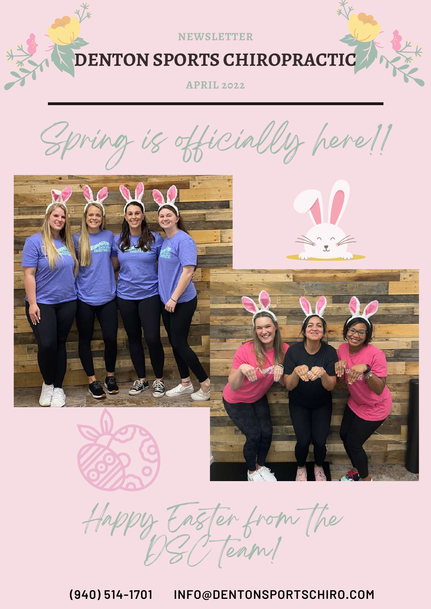

**APRIL 2022**

is officially here!!







Happy Easter from the  $b$   $\geq$   $\sqrt{2}$  (enough

**(940) 514-1701 INFO@DENTONSPORTSCHIRO.COM**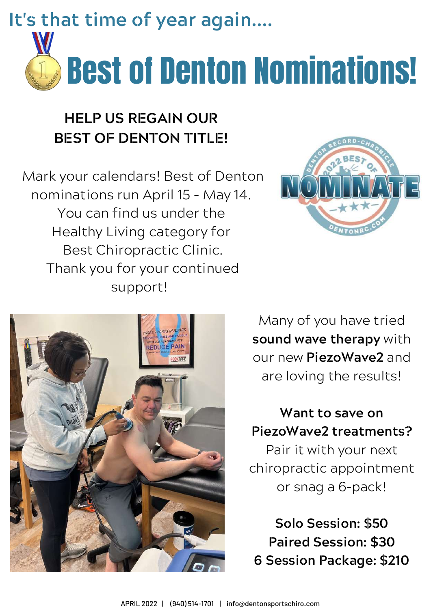**It's that time of year again....**



### **HELP US REGAIN OUR BEST OF DENTON TITLE!**

Mark your calendars! Best of Denton nominations run April 15 – May 14. You can find us under the Healthy Living category for Best Chiropractic Clinic. Thank you for your continued support!





Many of you have tried **sound wave therapy** with our new **PiezoWave2** and are loving the results!

**Want to save on PiezoWave2 treatments?**

Pair it with your next chiropractic appointment or snag a 6-pack!

**Solo Session: \$50 Paired Session: \$30 6 Session Package: \$210**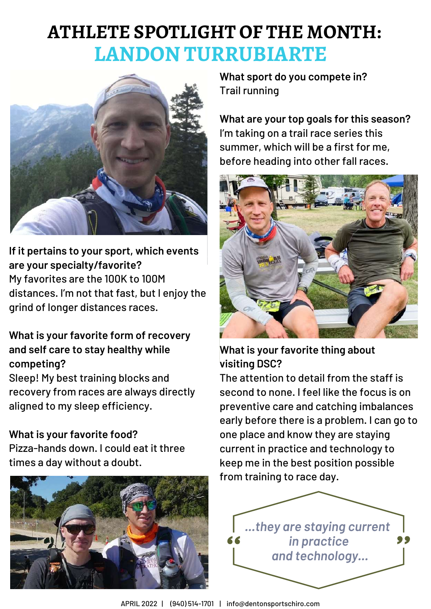### **ATHLETE SPOTLIGHT OF THE MONTH: LANDON TURRUBIARTE**



**If it pertains to your sport, which events are your specialty/favorite?** My favorites are the 100K to 100M distances. I'm not that fast, but I enjoy the grind of longer distances races.

#### **What is your favorite form of recovery and self care to stay healthy while competing?**

Sleep! My best training blocks and recovery from races are always directly aligned to my sleep efficiency.

#### **What is your favorite food?**

Pizza-hands down. I could eat it three times a day without a doubt.



**What sport do you compete in?** Trail running

**What are your top goals for this season?** I'm taking on a trail race series this summer, which will be a first for me, before heading into other fall races.



**What is your favorite thing about visiting DSC?**

The attention to detail from the staff is second to none. I feel like the focus is on preventive care and catching imbalances early before there is a problem. I can go to one place and know they are staying current in practice and technology to keep me in the best position possible from training to race day.



APRIL 2022 | (940) 514-1701 | info@dentonsportschiro.com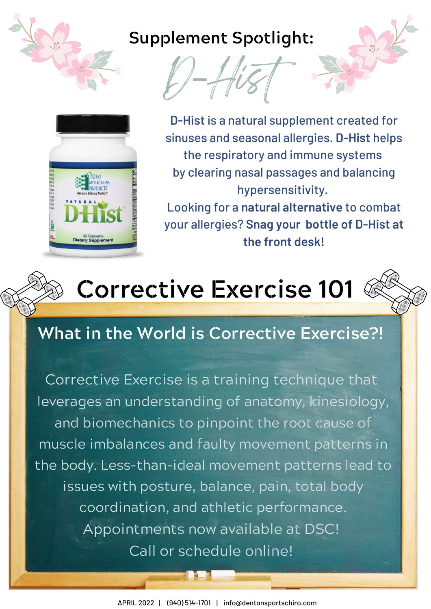

### **Supplement Spotlight:**





**D-Hist** is a natural supplement created for sinuses and seasonal allergies. **D-Hist** helps the respiratory and immune systems by clearing nasal passages and balancing hypersensitivity.

Looking for a **natural alternative** to combat your allergies? **Snag your bottle of D-Hist at the front desk!**



# **Corrective Exercise 101**

### **What in the World is Corrective Exercise?!**

Corrective Exercise is a training technique that leverages an understanding of anatomy, kinesiology, and biomechanics to pinpoint the root cause of muscle imbalances and faulty movement patterns in the body. Less-than-ideal movement patterns lead to issues with posture, balance, pain, total body coordination, and athletic performance. Appointments now available at DSC! Call or schedule online!